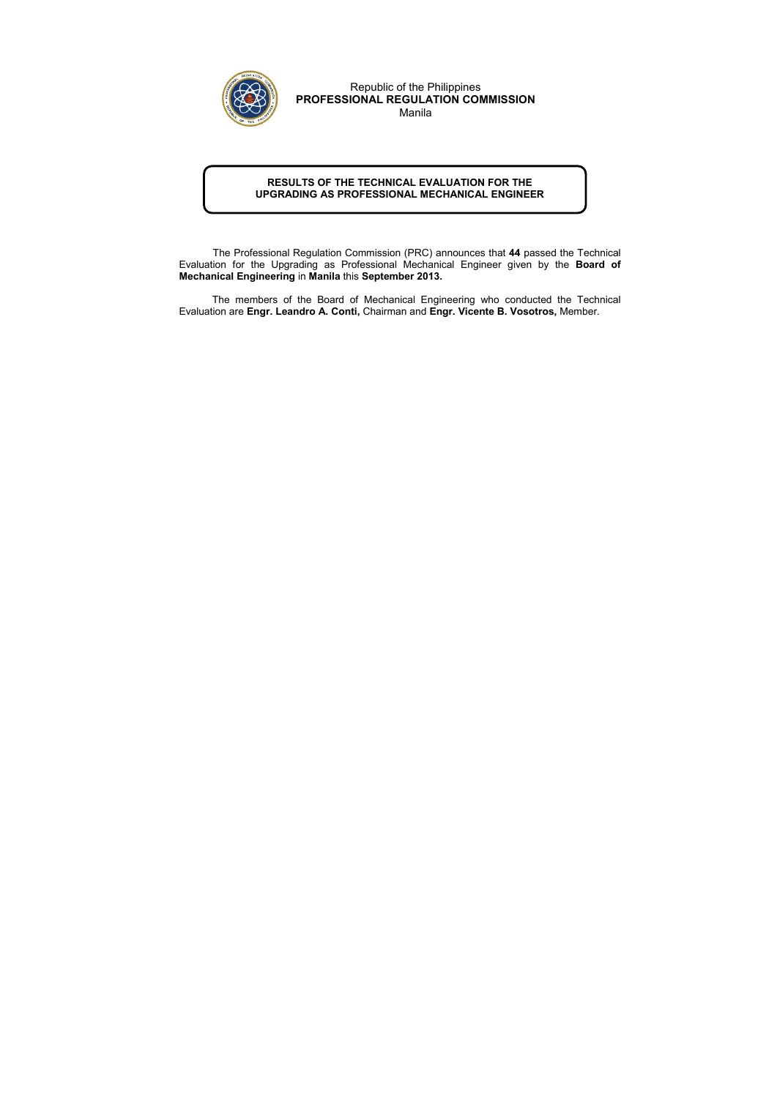## RESULTS OF THE TECHNICAL EVALUATION FOR THE UPGRADING AS PROFESSIONAL MECHANICAL ENGINEER

 The Professional Regulation Commission (PRC) announces that 44 passed the Technical Evaluation for the Upgrading as Professional Mechanical Engineer given by the Board of Mechanical Engineering in Manila this September 2013.

The members of the Board of Mechanical Engineering who conducted the Technical Evaluation are Engr. Leandro A. Conti, Chairman and Engr. Vicente B. Vosotros, Member.



Republic of the Philippines PROFESSIONAL REGULATION COMMISSION

Manila